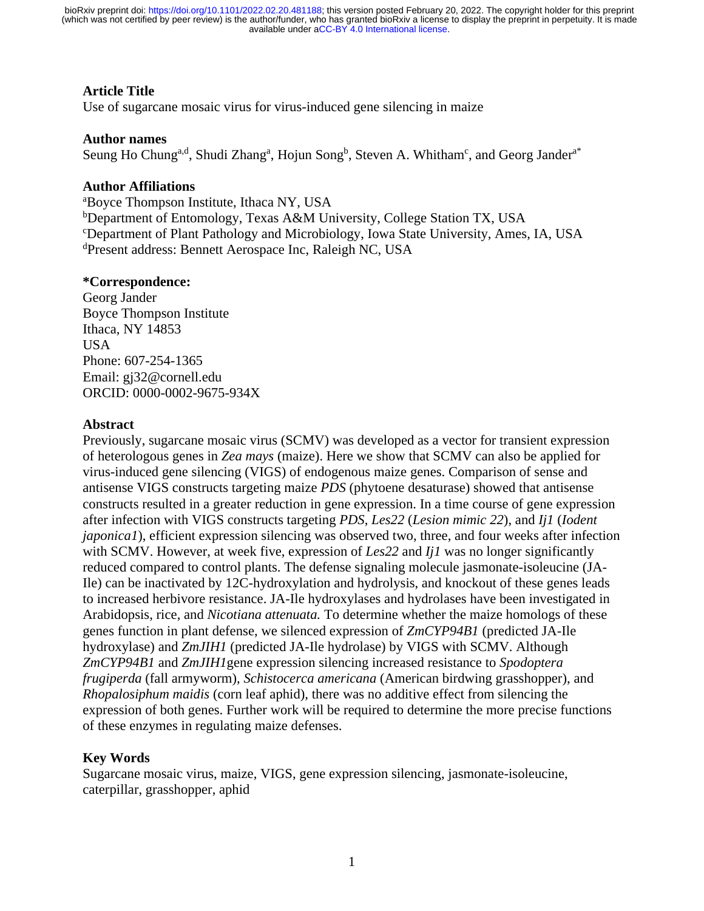## **Article Title**

Use of sugarcane mosaic virus for virus-induced gene silencing in maize

## **Author names**

Seung Ho Chung<sup>a,d</sup>, Shudi Zhang<sup>a</sup>, Hojun Song<sup>b</sup>, Steven A. Whitham<sup>c</sup>, and Georg Jander<sup>a\*</sup>

## **Author Affiliations**

a Boyce Thompson Institute, Ithaca NY, USA <sup>b</sup>Department of Entomology, Texas A&M University, College Station TX, USA c Department of Plant Pathology and Microbiology, Iowa State University, Ames, IA, USA d Present address: Bennett Aerospace Inc, Raleigh NC, USA

## **\*Correspondence:**

Georg Jander Boyce Thompson Institute Ithaca, NY 14853 **USA** Phone: 607-254-1365 Email: [gj32@cornell.edu](mailto:gj32@cornell.edu) ORCID: 0000-0002-9675-934X

## **Abstract**

Previously, sugarcane mosaic virus (SCMV) was developed as a vector for transient expression of heterologous genes in *Zea mays* (maize). Here we show that SCMV can also be applied for virus-induced gene silencing (VIGS) of endogenous maize genes. Comparison of sense and antisense VIGS constructs targeting maize *PDS* (phytoene desaturase) showed that antisense constructs resulted in a greater reduction in gene expression. In a time course of gene expression after infection with VIGS constructs targeting *PDS*, *Les22* (*Lesion mimic 22*), and *Ij1* (*Iodent japonica1*), efficient expression silencing was observed two, three, and four weeks after infection with SCMV. However, at week five, expression of *Les22* and *Ij1* was no longer significantly reduced compared to control plants. The defense signaling molecule jasmonate-isoleucine (JA-Ile) can be inactivated by 12C-hydroxylation and hydrolysis, and knockout of these genes leads to increased herbivore resistance. JA-Ile hydroxylases and hydrolases have been investigated in Arabidopsis, rice, and *Nicotiana attenuata.* To determine whether the maize homologs of these genes function in plant defense, we silenced expression of *ZmCYP94B1* (predicted JA-Ile hydroxylase) and *ZmJIH1* (predicted JA-Ile hydrolase) by VIGS with SCMV. Although *ZmCYP94B1* and *ZmJIH1*gene expression silencing increased resistance to *Spodoptera frugiperda* (fall armyworm), *Schistocerca americana* (American birdwing grasshopper), and *Rhopalosiphum maidis* (corn leaf aphid), there was no additive effect from silencing the expression of both genes. Further work will be required to determine the more precise functions of these enzymes in regulating maize defenses.

## **Key Words**

Sugarcane mosaic virus, maize, VIGS, gene expression silencing, jasmonate-isoleucine, caterpillar, grasshopper, aphid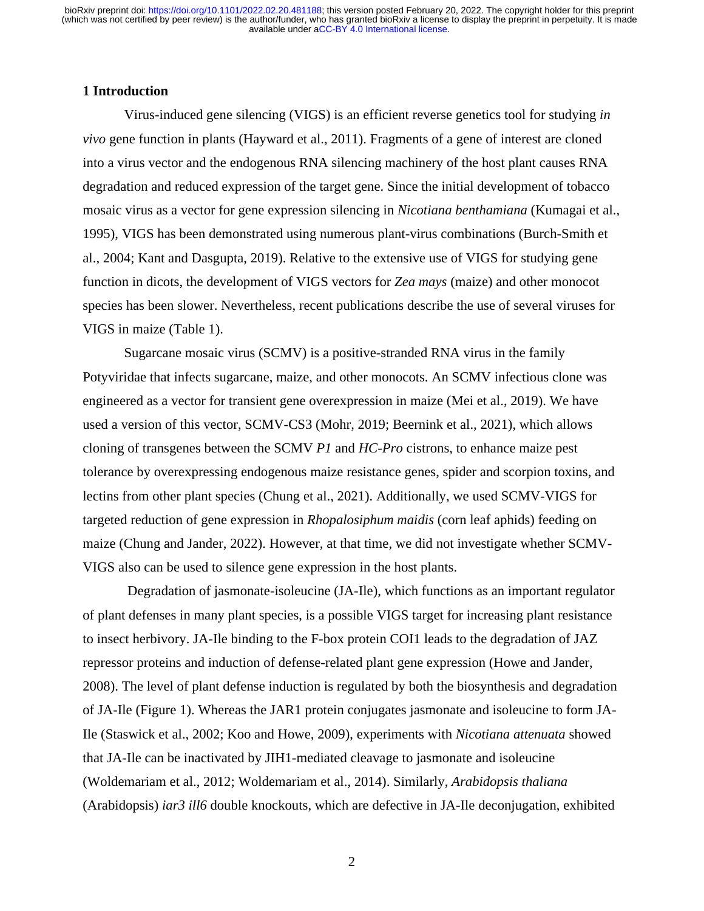#### **1 Introduction**

Virus-induced gene silencing (VIGS) is an efficient reverse genetics tool for studying *in vivo* gene function in plants (Hayward et al., 2011). Fragments of a gene of interest are cloned into a virus vector and the endogenous RNA silencing machinery of the host plant causes RNA degradation and reduced expression of the target gene. Since the initial development of tobacco mosaic virus as a vector for gene expression silencing in *Nicotiana benthamiana* (Kumagai et al., 1995), VIGS has been demonstrated using numerous plant-virus combinations (Burch-Smith et al., 2004; Kant and Dasgupta, 2019). Relative to the extensive use of VIGS for studying gene function in dicots, the development of VIGS vectors for *Zea mays* (maize) and other monocot species has been slower. Nevertheless, recent publications describe the use of several viruses for VIGS in maize (Table 1).

Sugarcane mosaic virus (SCMV) is a positive-stranded RNA virus in the family Potyviridae that infects sugarcane, maize, and other monocots. An SCMV infectious clone was engineered as a vector for transient gene overexpression in maize (Mei et al., 2019). We have used a version of this vector, SCMV-CS3 (Mohr, 2019; Beernink et al., 2021), which allows cloning of transgenes between the SCMV *P1* and *HC-Pro* cistrons, to enhance maize pest tolerance by overexpressing endogenous maize resistance genes, spider and scorpion toxins, and lectins from other plant species (Chung et al., 2021). Additionally, we used SCMV-VIGS for targeted reduction of gene expression in *Rhopalosiphum maidis* (corn leaf aphids) feeding on maize (Chung and Jander, 2022). However, at that time, we did not investigate whether SCMV-VIGS also can be used to silence gene expression in the host plants.

 Degradation of jasmonate-isoleucine (JA-Ile), which functions as an important regulator of plant defenses in many plant species, is a possible VIGS target for increasing plant resistance to insect herbivory. JA-Ile binding to the F-box protein COI1 leads to the degradation of JAZ repressor proteins and induction of defense-related plant gene expression (Howe and Jander, 2008). The level of plant defense induction is regulated by both the biosynthesis and degradation of JA-Ile (Figure 1). Whereas the JAR1 protein conjugates jasmonate and isoleucine to form JA-Ile (Staswick et al., 2002; Koo and Howe, 2009), experiments with *Nicotiana attenuata* showed that JA-Ile can be inactivated by JIH1-mediated cleavage to jasmonate and isoleucine (Woldemariam et al., 2012; Woldemariam et al., 2014). Similarly, *Arabidopsis thaliana*  (Arabidopsis) *iar3 ill6* double knockouts, which are defective in JA-Ile deconjugation, exhibited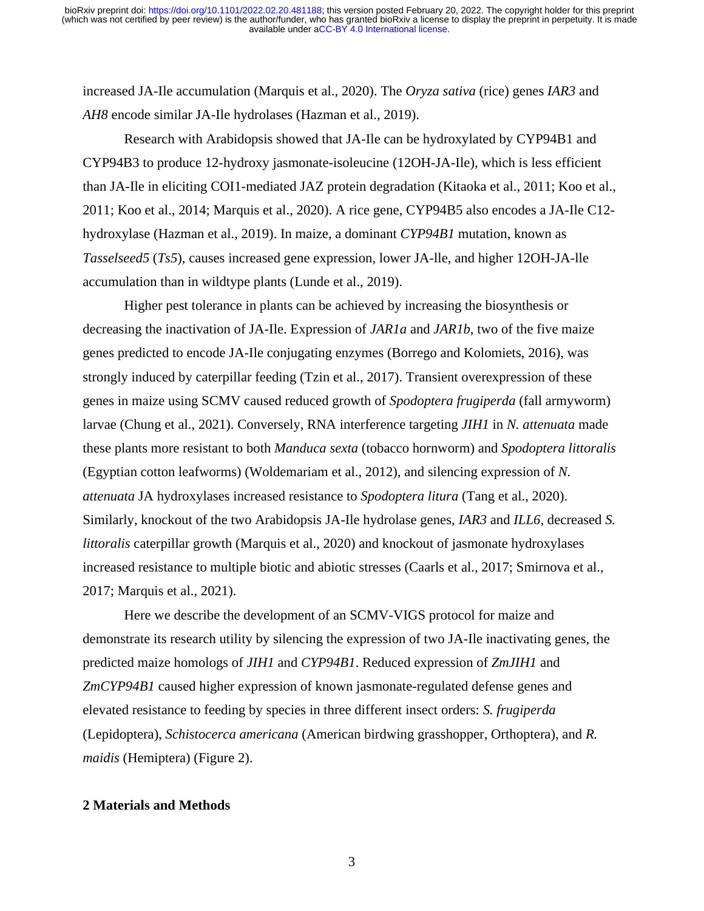increased JA-Ile accumulation (Marquis et al., 2020). The *Oryza sativa* (rice) genes *IAR3* and *AH8* encode similar JA-Ile hydrolases (Hazman et al., 2019).

Research with Arabidopsis showed that JA-Ile can be hydroxylated by CYP94B1 and CYP94B3 to produce 12-hydroxy jasmonate-isoleucine (12OH-JA-Ile), which is less efficient than JA-Ile in eliciting COI1-mediated JAZ protein degradation (Kitaoka et al., 2011; Koo et al., 2011; Koo et al., 2014; Marquis et al., 2020). A rice gene, CYP94B5 also encodes a JA-Ile C12 hydroxylase (Hazman et al., 2019). In maize, a dominant *CYP94B1* mutation, known as *Tasselseed5* (*Ts5*), causes increased gene expression, lower JA-lle, and higher 12OH-JA-lle accumulation than in wildtype plants (Lunde et al., 2019).

Higher pest tolerance in plants can be achieved by increasing the biosynthesis or decreasing the inactivation of JA-Ile. Expression of *JAR1a* and *JAR1b*, two of the five maize genes predicted to encode JA-Ile conjugating enzymes (Borrego and Kolomiets, 2016), was strongly induced by caterpillar feeding (Tzin et al., 2017). Transient overexpression of these genes in maize using SCMV caused reduced growth of *Spodoptera frugiperda* (fall armyworm) larvae (Chung et al., 2021). Conversely, RNA interference targeting *JIH1* in *N. attenuata* made these plants more resistant to both *Manduca sexta* (tobacco hornworm) and *Spodoptera littoralis*  (Egyptian cotton leafworms) (Woldemariam et al., 2012), and silencing expression of *N. attenuata* JA hydroxylases increased resistance to *Spodoptera litura* (Tang et al., 2020). Similarly, knockout of the two Arabidopsis JA-Ile hydrolase genes, *IAR3* and *ILL6*, decreased *S. littoralis* caterpillar growth (Marquis et al., 2020) and knockout of jasmonate hydroxylases increased resistance to multiple biotic and abiotic stresses (Caarls et al., 2017; Smirnova et al., 2017; Marquis et al., 2021).

Here we describe the development of an SCMV-VIGS protocol for maize and demonstrate its research utility by silencing the expression of two JA-Ile inactivating genes, the predicted maize homologs of *JIH1* and *CYP94B1*. Reduced expression of *ZmJIH1* and *ZmCYP94B1* caused higher expression of known jasmonate-regulated defense genes and elevated resistance to feeding by species in three different insect orders: *S. frugiperda*  (Lepidoptera), *Schistocerca americana* (American birdwing grasshopper, Orthoptera), and *R. maidis* (Hemiptera) (Figure 2).

#### **2 Materials and Methods**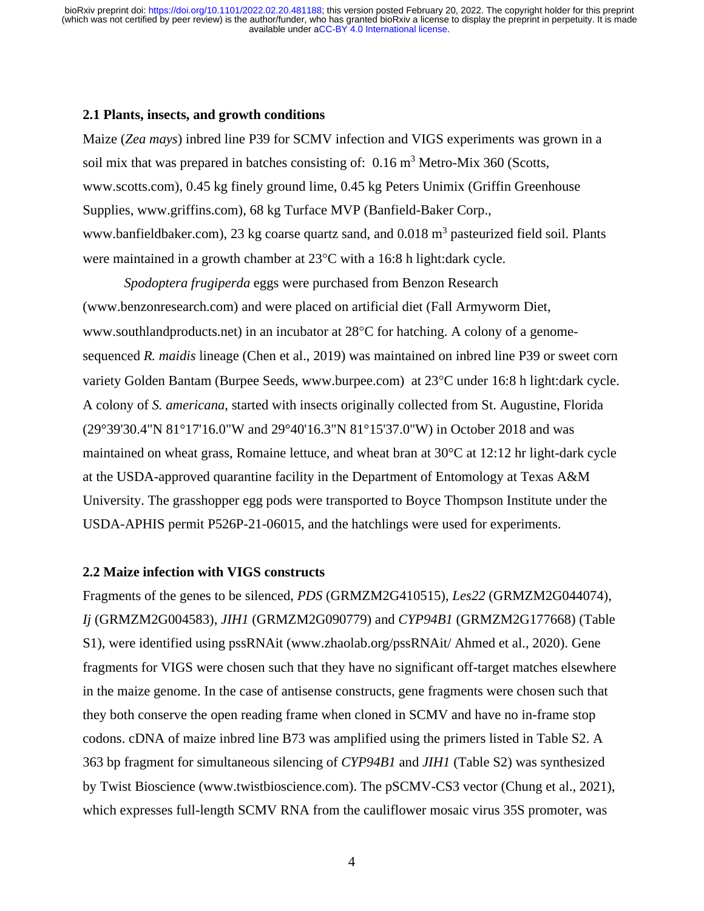#### **2.1 Plants, insects, and growth conditions**

Maize (*Zea mays*) inbred line P39 for SCMV infection and VIGS experiments was grown in a soil mix that was prepared in batches consisting of:  $0.16 \text{ m}^3$  Metro-Mix 360 (Scotts, www.scotts.com), 0.45 kg finely ground lime, 0.45 kg Peters Unimix (Griffin Greenhouse Supplies, www.griffins.com), 68 kg Turface MVP (Banfield-Baker Corp., www.banfieldbaker.com), 23 kg coarse quartz sand, and  $0.018 \text{ m}^3$  pasteurized field soil. Plants were maintained in a growth chamber at 23°C with a 16:8 h light:dark cycle.

*Spodoptera frugiperda* eggs were purchased from Benzon Research (www.benzonresearch.com) and were placed on artificial diet (Fall Armyworm Diet, www.southlandproducts.net) in an incubator at 28°C for hatching. A colony of a genomesequenced *R. maidis* lineage (Chen et al., 2019) was maintained on inbred line P39 or sweet corn variety Golden Bantam (Burpee Seeds, [www.burpee.com\)](http://www.burpee.com/) at 23°C under 16:8 h light:dark cycle. A colony of *S. americana*, started with insects originally collected from St. Augustine, Florida (29°39'30.4"N 81°17'16.0"W and 29°40'16.3"N 81°15'37.0"W) in October 2018 and was maintained on wheat grass, Romaine lettuce, and wheat bran at 30°C at 12:12 hr light-dark cycle at the USDA-approved quarantine facility in the Department of Entomology at Texas A&M University. The grasshopper egg pods were transported to Boyce Thompson Institute under the USDA-APHIS permit P526P-21-06015, and the hatchlings were used for experiments.

## **2.2 Maize infection with VIGS constructs**

Fragments of the genes to be silenced, *PDS* (GRMZM2G410515), *Les22* (GRMZM2G044074), *Ij* (GRMZM2G004583), *JIH1* (GRMZM2G090779) and *CYP94B1* (GRMZM2G177668) (Table S1), were identified using pssRNAit [\(www.zhaolab.org/pssRNAit/](http://www.zhaolab.org/pssRNAit/) Ahmed et al., 2020). Gene fragments for VIGS were chosen such that they have no significant off-target matches elsewhere in the maize genome. In the case of antisense constructs, gene fragments were chosen such that they both conserve the open reading frame when cloned in SCMV and have no in-frame stop codons. cDNA of maize inbred line B73 was amplified using the primers listed in Table S2. A 363 bp fragment for simultaneous silencing of *CYP94B1* and *JIH1* (Table S2) was synthesized by Twist Bioscience (www.twistbioscience.com). The pSCMV-CS3 vector (Chung et al., 2021), which expresses full-length SCMV RNA from the cauliflower mosaic virus 35S promoter, was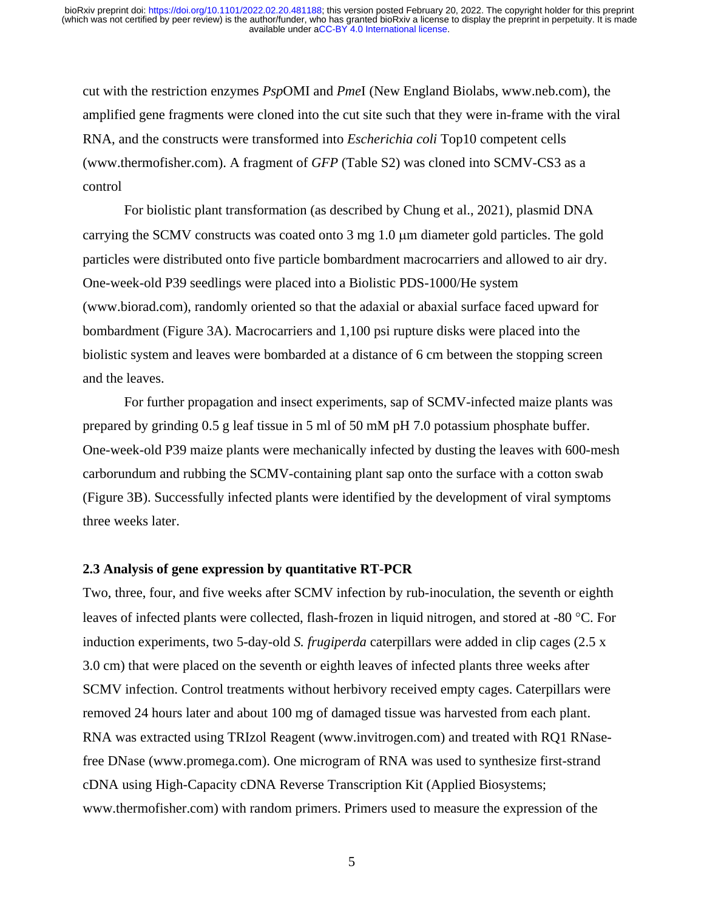cut with the restriction enzymes *Psp*OMI and *Pme*I (New England Biolabs, [www.neb.com\)](http://www.neb.com/), the amplified gene fragments were cloned into the cut site such that they were in-frame with the viral RNA, and the constructs were transformed into *Escherichia coli* Top10 competent cells [\(www.thermofisher.com\)](http://www.thermofisher.com/). A fragment of *GFP* (Table S2) was cloned into SCMV-CS3 as a control

For biolistic plant transformation (as described by Chung et al., 2021), plasmid DNA carrying the SCMV constructs was coated onto 3 mg 1.0 µm diameter gold particles. The gold particles were distributed onto five particle bombardment macrocarriers and allowed to air dry. One-week-old P39 seedlings were placed into a Biolistic PDS-1000/He system [\(www.biorad.com\)](http://www.biorad.com/), randomly oriented so that the adaxial or abaxial surface faced upward for bombardment (Figure 3A). Macrocarriers and 1,100 psi rupture disks were placed into the biolistic system and leaves were bombarded at a distance of 6 cm between the stopping screen and the leaves.

For further propagation and insect experiments, sap of SCMV-infected maize plants was prepared by grinding 0.5 g leaf tissue in 5 ml of 50 mM pH 7.0 potassium phosphate buffer. One-week-old P39 maize plants were mechanically infected by dusting the leaves with 600-mesh carborundum and rubbing the SCMV-containing plant sap onto the surface with a cotton swab (Figure 3B). Successfully infected plants were identified by the development of viral symptoms three weeks later.

## **2.3 Analysis of gene expression by quantitative RT-PCR**

Two, three, four, and five weeks after SCMV infection by rub-inoculation, the seventh or eighth leaves of infected plants were collected, flash-frozen in liquid nitrogen, and stored at -80 °C. For induction experiments, two 5-day-old *S. frugiperda* caterpillars were added in clip cages (2.5 x 3.0 cm) that were placed on the seventh or eighth leaves of infected plants three weeks after SCMV infection. Control treatments without herbivory received empty cages. Caterpillars were removed 24 hours later and about 100 mg of damaged tissue was harvested from each plant. RNA was extracted using TRIzol Reagent (www.invitrogen.com) and treated with RQ1 RNasefree DNase (www.promega.com). One microgram of RNA was used to synthesize first-strand cDNA using High-Capacity cDNA Reverse Transcription Kit (Applied Biosystems; www.thermofisher.com) with random primers. Primers used to measure the expression of the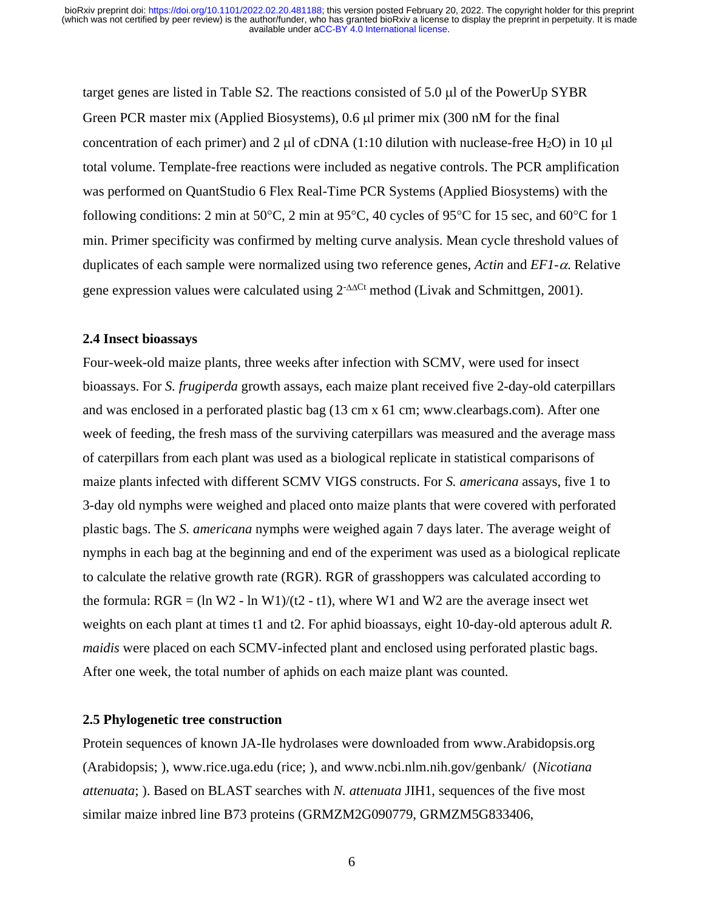target genes are listed in Table S2. The reactions consisted of 5.0 µl of the PowerUp SYBR Green PCR master mix (Applied Biosystems), 0.6 µl primer mix (300 nM for the final concentration of each primer) and 2  $\mu$  of cDNA (1:10 dilution with nuclease-free H<sub>2</sub>O) in 10  $\mu$ total volume. Template-free reactions were included as negative controls. The PCR amplification was performed on QuantStudio 6 Flex Real-Time PCR Systems (Applied Biosystems) with the following conditions: 2 min at 50 $^{\circ}$ C, 2 min at 95 $^{\circ}$ C, 40 cycles of 95 $^{\circ}$ C for 15 sec, and 60 $^{\circ}$ C for 1 min. Primer specificity was confirmed by melting curve analysis. Mean cycle threshold values of duplicates of each sample were normalized using two reference genes, *Actin* and *EF1-*α. Relative gene expression values were calculated using 2<sup>-∆∆Ct</sup> method (Livak and Schmittgen, 2001).

#### **2.4 Insect bioassays**

Four-week-old maize plants, three weeks after infection with SCMV, were used for insect bioassays. For *S. frugiperda* growth assays, each maize plant received five 2-day-old caterpillars and was enclosed in a perforated plastic bag (13 cm x 61 cm; www.clearbags.com). After one week of feeding, the fresh mass of the surviving caterpillars was measured and the average mass of caterpillars from each plant was used as a biological replicate in statistical comparisons of maize plants infected with different SCMV VIGS constructs. For *S. americana* assays, five 1 to 3-day old nymphs were weighed and placed onto maize plants that were covered with perforated plastic bags. The *S. americana* nymphs were weighed again 7 days later. The average weight of nymphs in each bag at the beginning and end of the experiment was used as a biological replicate to calculate the relative growth rate (RGR). RGR of grasshoppers was calculated according to the formula:  $RGR = (ln W2 - ln W1)/(t2 - t1)$ , where W1 and W2 are the average insect wet weights on each plant at times t1 and t2. For aphid bioassays, eight 10-day-old apterous adult *R. maidis* were placed on each SCMV-infected plant and enclosed using perforated plastic bags. After one week, the total number of aphids on each maize plant was counted.

#### **2.5 Phylogenetic tree construction**

Protein sequences of known JA-Ile hydrolases were downloaded from www.Arabidopsis.org (Arabidopsis; ), www.rice.uga.edu (rice; ), and www.ncbi.nlm.nih.gov/genbank/ (*Nicotiana attenuata*; ). Based on BLAST searches with *N. attenuata* JIH1, sequences of the five most similar maize inbred line B73 proteins (GRMZM2G090779, GRMZM5G833406,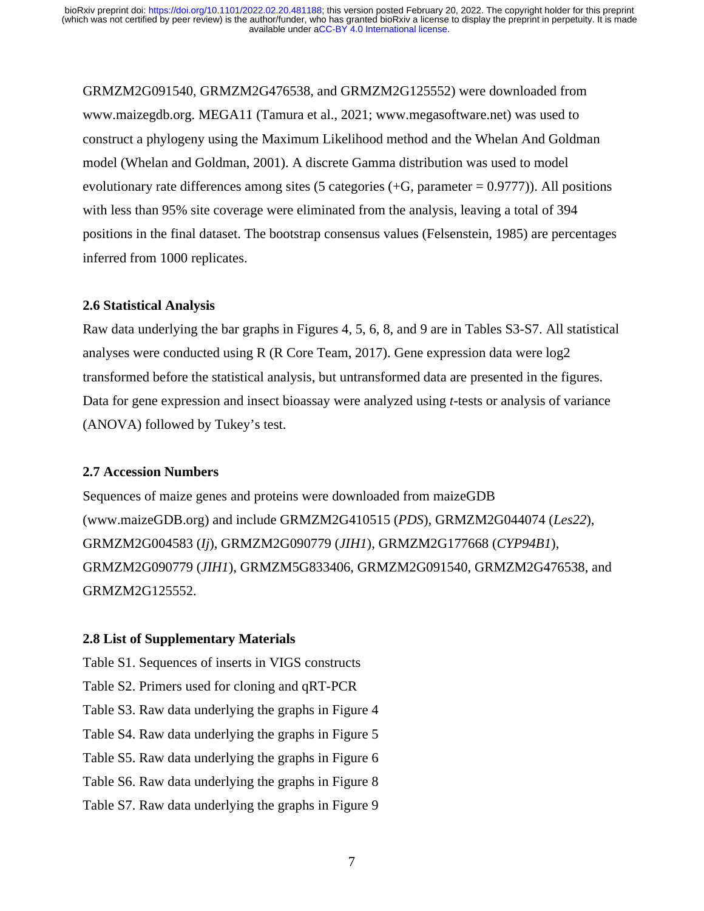GRMZM2G091540, GRMZM2G476538, and GRMZM2G125552) were downloaded from www.maizegdb.org. MEGA11 (Tamura et al., 2021; [www.megasoftware.net\)](http://www.megasoftware.net/) was used to construct a phylogeny using the Maximum Likelihood method and the Whelan And Goldman model (Whelan and Goldman, 2001). A discrete Gamma distribution was used to model evolutionary rate differences among sites (5 categories  $(+G,$  parameter = 0.9777)). All positions with less than 95% site coverage were eliminated from the analysis, leaving a total of 394 positions in the final dataset. The bootstrap consensus values (Felsenstein, 1985) are percentages inferred from 1000 replicates.

#### **2.6 Statistical Analysis**

Raw data underlying the bar graphs in Figures 4, 5, 6, 8, and 9 are in Tables S3-S7. All statistical analyses were conducted using R (R Core Team, 2017). Gene expression data were log2 transformed before the statistical analysis, but untransformed data are presented in the figures. Data for gene expression and insect bioassay were analyzed using *t*-tests or analysis of variance (ANOVA) followed by Tukey's test.

#### **2.7 Accession Numbers**

Sequences of maize genes and proteins were downloaded from maizeGDB [\(www.maizeGDB.org\)](http://www.maizegdb.org/) and include GRMZM2G410515 (*PDS*), GRMZM2G044074 (*Les22*), GRMZM2G004583 (*Ij*), GRMZM2G090779 (*JIH1*), GRMZM2G177668 (*CYP94B1*), GRMZM2G090779 (*JIH1*), GRMZM5G833406, GRMZM2G091540, GRMZM2G476538, and GRMZM2G125552.

## **2.8 List of Supplementary Materials**

Table S1. Sequences of inserts in VIGS constructs Table S2. Primers used for cloning and qRT-PCR Table S3. Raw data underlying the graphs in Figure 4 Table S4. Raw data underlying the graphs in Figure 5 Table S5. Raw data underlying the graphs in Figure 6 Table S6. Raw data underlying the graphs in Figure 8 Table S7. Raw data underlying the graphs in Figure 9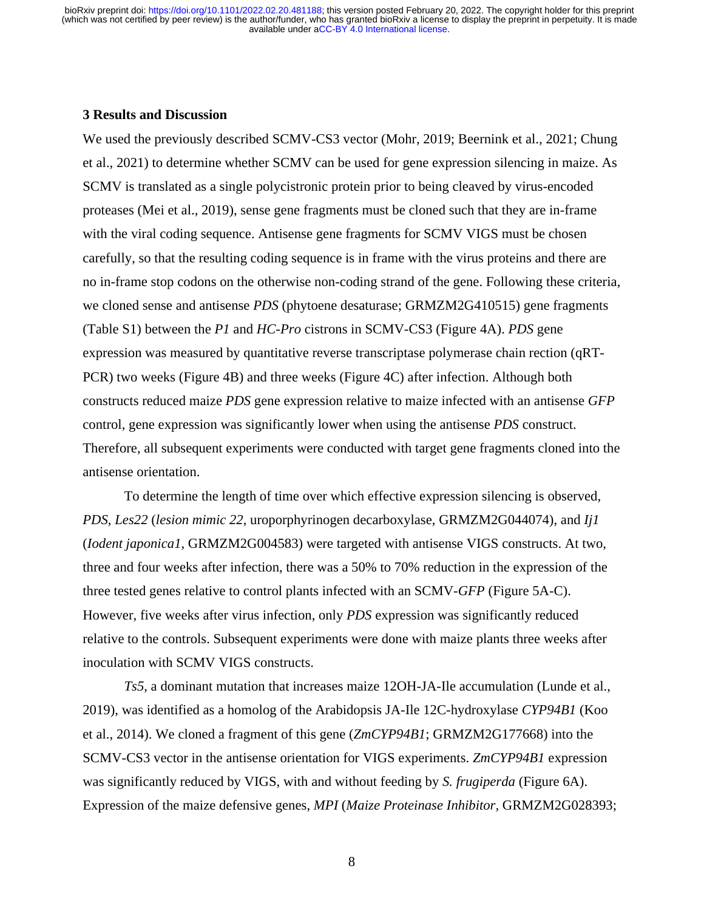#### **3 Results and Discussion**

We used the previously described SCMV-CS3 vector (Mohr, 2019; Beernink et al., 2021; Chung et al., 2021) to determine whether SCMV can be used for gene expression silencing in maize. As SCMV is translated as a single polycistronic protein prior to being cleaved by virus-encoded proteases (Mei et al., 2019), sense gene fragments must be cloned such that they are in-frame with the viral coding sequence. Antisense gene fragments for SCMV VIGS must be chosen carefully, so that the resulting coding sequence is in frame with the virus proteins and there are no in-frame stop codons on the otherwise non-coding strand of the gene. Following these criteria, we cloned sense and antisense *PDS* (phytoene desaturase; GRMZM2G410515) gene fragments (Table S1) between the *P1* and *HC-Pro* cistrons in SCMV-CS3 (Figure 4A). *PDS* gene expression was measured by quantitative reverse transcriptase polymerase chain rection (qRT-PCR) two weeks (Figure 4B) and three weeks (Figure 4C) after infection. Although both constructs reduced maize *PDS* gene expression relative to maize infected with an antisense *GFP*  control, gene expression was significantly lower when using the antisense *PDS* construct. Therefore, all subsequent experiments were conducted with target gene fragments cloned into the antisense orientation.

To determine the length of time over which effective expression silencing is observed, *PDS*, *Les22* (*lesion mimic 22*, uroporphyrinogen decarboxylase, GRMZM2G044074), and *Ij1*  (*Iodent japonica1*, GRMZM2G004583) were targeted with antisense VIGS constructs. At two, three and four weeks after infection, there was a 50% to 70% reduction in the expression of the three tested genes relative to control plants infected with an SCMV-*GFP* (Figure 5A-C). However, five weeks after virus infection, only *PDS* expression was significantly reduced relative to the controls. Subsequent experiments were done with maize plants three weeks after inoculation with SCMV VIGS constructs.

*Ts5*, a dominant mutation that increases maize 12OH-JA-Ile accumulation (Lunde et al., 2019), was identified as a homolog of the Arabidopsis JA-Ile 12C-hydroxylase *CYP94B1* (Koo et al., 2014). We cloned a fragment of this gene (*ZmCYP94B1*; GRMZM2G177668) into the SCMV-CS3 vector in the antisense orientation for VIGS experiments. *ZmCYP94B1* expression was significantly reduced by VIGS, with and without feeding by *S. frugiperda* (Figure 6A). Expression of the maize defensive genes, *MPI* (*Maize Proteinase Inhibitor,* GRMZM2G028393;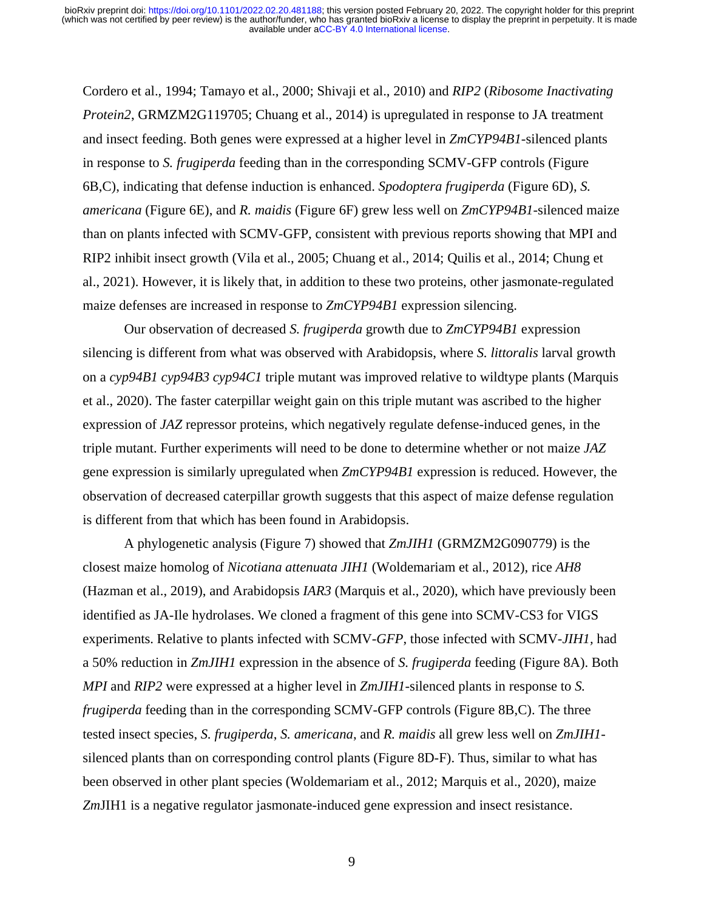Cordero et al., 1994; Tamayo et al., 2000; Shivaji et al., 2010) and *RIP2* (*Ribosome Inactivating Protein2*, GRMZM2G119705; Chuang et al., 2014) is upregulated in response to JA treatment and insect feeding. Both genes were expressed at a higher level in *ZmCYP94B1-*silenced plants in response to *S. frugiperda* feeding than in the corresponding SCMV-GFP controls (Figure 6B,C), indicating that defense induction is enhanced. *Spodoptera frugiperda* (Figure 6D), *S. americana* (Figure 6E), and *R. maidis* (Figure 6F) grew less well on *ZmCYP94B1-*silenced maize than on plants infected with SCMV-GFP, consistent with previous reports showing that MPI and RIP2 inhibit insect growth (Vila et al., 2005; Chuang et al., 2014; Quilis et al., 2014; Chung et al., 2021). However, it is likely that, in addition to these two proteins, other jasmonate-regulated maize defenses are increased in response to *ZmCYP94B1* expression silencing.

Our observation of decreased *S. frugiperda* growth due to *ZmCYP94B1* expression silencing is different from what was observed with Arabidopsis, where *S. littoralis* larval growth on a *cyp94B1 cyp94B3 cyp94C1* triple mutant was improved relative to wildtype plants (Marquis et al., 2020). The faster caterpillar weight gain on this triple mutant was ascribed to the higher expression of *JAZ* repressor proteins, which negatively regulate defense-induced genes, in the triple mutant. Further experiments will need to be done to determine whether or not maize *JAZ*  gene expression is similarly upregulated when *ZmCYP94B1* expression is reduced. However, the observation of decreased caterpillar growth suggests that this aspect of maize defense regulation is different from that which has been found in Arabidopsis.

A phylogenetic analysis (Figure 7) showed that *ZmJIH1* (GRMZM2G090779) is the closest maize homolog of *Nicotiana attenuata JIH1* (Woldemariam et al., 2012), rice *AH8* (Hazman et al., 2019), and Arabidopsis *IAR3* (Marquis et al., 2020), which have previously been identified as JA-Ile hydrolases. We cloned a fragment of this gene into SCMV-CS3 for VIGS experiments. Relative to plants infected with SCMV-*GFP*, those infected with SCMV-*JIH1,* had a 50% reduction in *ZmJIH1* expression in the absence of *S. frugiperda* feeding (Figure 8A). Both *MPI* and *RIP2* were expressed at a higher level in *ZmJIH1-*silenced plants in response to *S. frugiperda* feeding than in the corresponding SCMV-GFP controls (Figure 8B,C). The three tested insect species, *S. frugiperda*, *S. americana*, and *R. maidis* all grew less well on *ZmJIH1* silenced plants than on corresponding control plants (Figure 8D-F). Thus, similar to what has been observed in other plant species (Woldemariam et al., 2012; Marquis et al., 2020), maize *Zm*JIH1 is a negative regulator jasmonate-induced gene expression and insect resistance.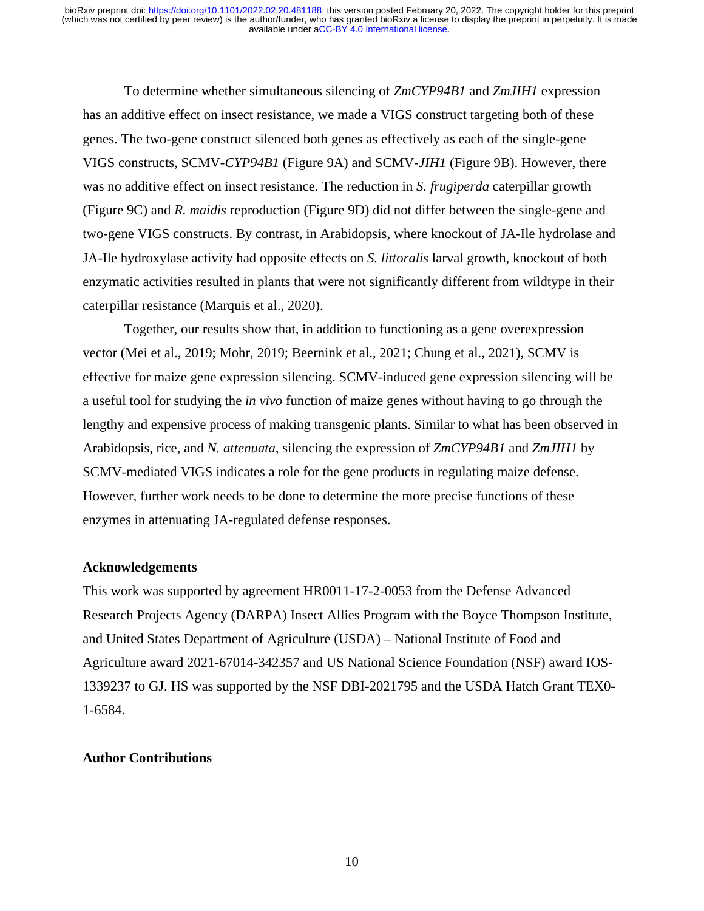To determine whether simultaneous silencing of *ZmCYP94B1* and *ZmJIH1* expression has an additive effect on insect resistance, we made a VIGS construct targeting both of these genes. The two-gene construct silenced both genes as effectively as each of the single-gene VIGS constructs, SCMV*-CYP94B1* (Figure 9A) and SCMV*-JIH1* (Figure 9B). However, there was no additive effect on insect resistance. The reduction in *S. frugiperda* caterpillar growth (Figure 9C) and *R. maidis* reproduction (Figure 9D) did not differ between the single-gene and two-gene VIGS constructs. By contrast, in Arabidopsis, where knockout of JA-Ile hydrolase and JA-Ile hydroxylase activity had opposite effects on *S. littoralis* larval growth, knockout of both enzymatic activities resulted in plants that were not significantly different from wildtype in their caterpillar resistance (Marquis et al., 2020).

Together, our results show that, in addition to functioning as a gene overexpression vector (Mei et al., 2019; Mohr, 2019; Beernink et al., 2021; Chung et al., 2021), SCMV is effective for maize gene expression silencing. SCMV-induced gene expression silencing will be a useful tool for studying the *in vivo* function of maize genes without having to go through the lengthy and expensive process of making transgenic plants. Similar to what has been observed in Arabidopsis, rice, and *N. attenuata*, silencing the expression of *ZmCYP94B1* and *ZmJIH1* by SCMV-mediated VIGS indicates a role for the gene products in regulating maize defense. However, further work needs to be done to determine the more precise functions of these enzymes in attenuating JA-regulated defense responses.

#### **Acknowledgements**

This work was supported by agreement HR0011-17-2-0053 from the Defense Advanced Research Projects Agency (DARPA) Insect Allies Program with the Boyce Thompson Institute, and United States Department of Agriculture (USDA) – National Institute of Food and Agriculture award 2021-67014-342357 and US National Science Foundation (NSF) award IOS-1339237 to GJ. HS was supported by the NSF DBI-2021795 and the USDA Hatch Grant TEX0- 1-6584.

## **Author Contributions**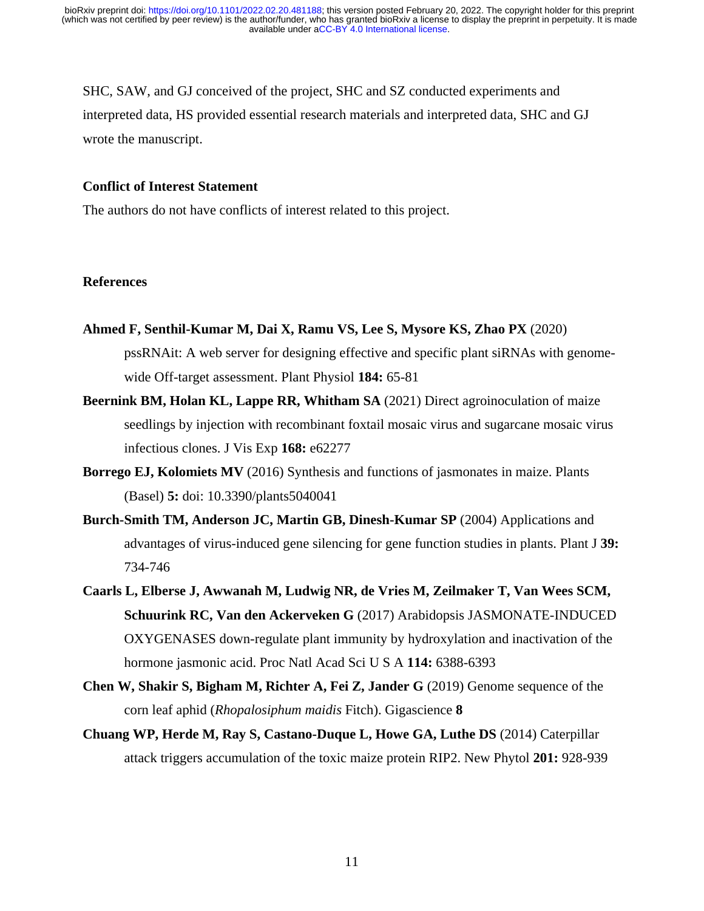SHC, SAW, and GJ conceived of the project, SHC and SZ conducted experiments and interpreted data, HS provided essential research materials and interpreted data, SHC and GJ wrote the manuscript.

## **Conflict of Interest Statement**

The authors do not have conflicts of interest related to this project.

## **References**

- **Ahmed F, Senthil-Kumar M, Dai X, Ramu VS, Lee S, Mysore KS, Zhao PX** (2020) pssRNAit: A web server for designing effective and specific plant siRNAs with genomewide Off-target assessment. Plant Physiol **184:** 65-81
- **Beernink BM, Holan KL, Lappe RR, Whitham SA** (2021) Direct agroinoculation of maize seedlings by injection with recombinant foxtail mosaic virus and sugarcane mosaic virus infectious clones. J Vis Exp **168:** e62277
- **Borrego EJ, Kolomiets MV** (2016) Synthesis and functions of jasmonates in maize. Plants (Basel) **5:** doi: 10.3390/plants5040041
- **Burch-Smith TM, Anderson JC, Martin GB, Dinesh-Kumar SP** (2004) Applications and advantages of virus-induced gene silencing for gene function studies in plants. Plant J **39:** 734-746
- **Caarls L, Elberse J, Awwanah M, Ludwig NR, de Vries M, Zeilmaker T, Van Wees SCM, Schuurink RC, Van den Ackerveken G** (2017) Arabidopsis JASMONATE-INDUCED OXYGENASES down-regulate plant immunity by hydroxylation and inactivation of the hormone jasmonic acid. Proc Natl Acad Sci U S A **114:** 6388-6393
- **Chen W, Shakir S, Bigham M, Richter A, Fei Z, Jander G** (2019) Genome sequence of the corn leaf aphid (*Rhopalosiphum maidis* Fitch). Gigascience **8**
- **Chuang WP, Herde M, Ray S, Castano-Duque L, Howe GA, Luthe DS** (2014) Caterpillar attack triggers accumulation of the toxic maize protein RIP2. New Phytol **201:** 928-939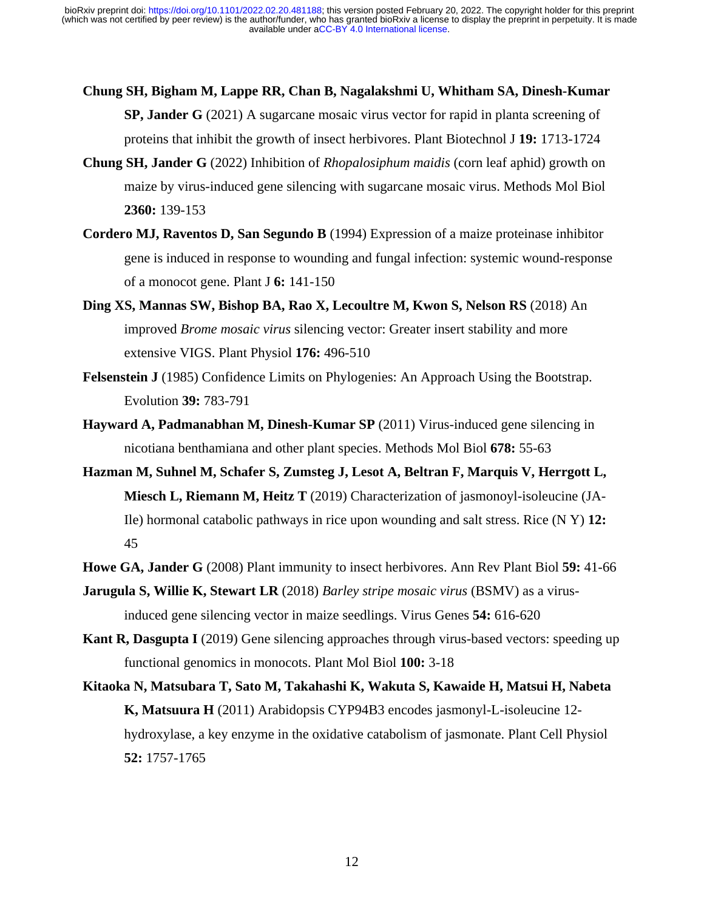- **Chung SH, Bigham M, Lappe RR, Chan B, Nagalakshmi U, Whitham SA, Dinesh-Kumar SP, Jander G** (2021) A sugarcane mosaic virus vector for rapid in planta screening of proteins that inhibit the growth of insect herbivores. Plant Biotechnol J **19:** 1713-1724
- **Chung SH, Jander G** (2022) Inhibition of *Rhopalosiphum maidis* (corn leaf aphid) growth on maize by virus-induced gene silencing with sugarcane mosaic virus. Methods Mol Biol **2360:** 139-153
- **Cordero MJ, Raventos D, San Segundo B** (1994) Expression of a maize proteinase inhibitor gene is induced in response to wounding and fungal infection: systemic wound-response of a monocot gene. Plant J **6:** 141-150
- **Ding XS, Mannas SW, Bishop BA, Rao X, Lecoultre M, Kwon S, Nelson RS** (2018) An improved *Brome mosaic virus* silencing vector: Greater insert stability and more extensive VIGS. Plant Physiol **176:** 496-510
- **Felsenstein J** (1985) Confidence Limits on Phylogenies: An Approach Using the Bootstrap. Evolution **39:** 783-791
- **Hayward A, Padmanabhan M, Dinesh-Kumar SP** (2011) Virus-induced gene silencing in nicotiana benthamiana and other plant species. Methods Mol Biol **678:** 55-63
- **Hazman M, Suhnel M, Schafer S, Zumsteg J, Lesot A, Beltran F, Marquis V, Herrgott L, Miesch L, Riemann M, Heitz T** (2019) Characterization of jasmonoyl-isoleucine (JA-Ile) hormonal catabolic pathways in rice upon wounding and salt stress. Rice (N Y) **12:** 45
- **Howe GA, Jander G** (2008) Plant immunity to insect herbivores. Ann Rev Plant Biol **59:** 41-66
- **Jarugula S, Willie K, Stewart LR** (2018) *Barley stripe mosaic virus* (BSMV) as a virusinduced gene silencing vector in maize seedlings. Virus Genes **54:** 616-620
- **Kant R, Dasgupta I** (2019) Gene silencing approaches through virus-based vectors: speeding up functional genomics in monocots. Plant Mol Biol **100:** 3-18
- **Kitaoka N, Matsubara T, Sato M, Takahashi K, Wakuta S, Kawaide H, Matsui H, Nabeta K, Matsuura H** (2011) Arabidopsis CYP94B3 encodes jasmonyl-L-isoleucine 12 hydroxylase, a key enzyme in the oxidative catabolism of jasmonate. Plant Cell Physiol **52:** 1757-1765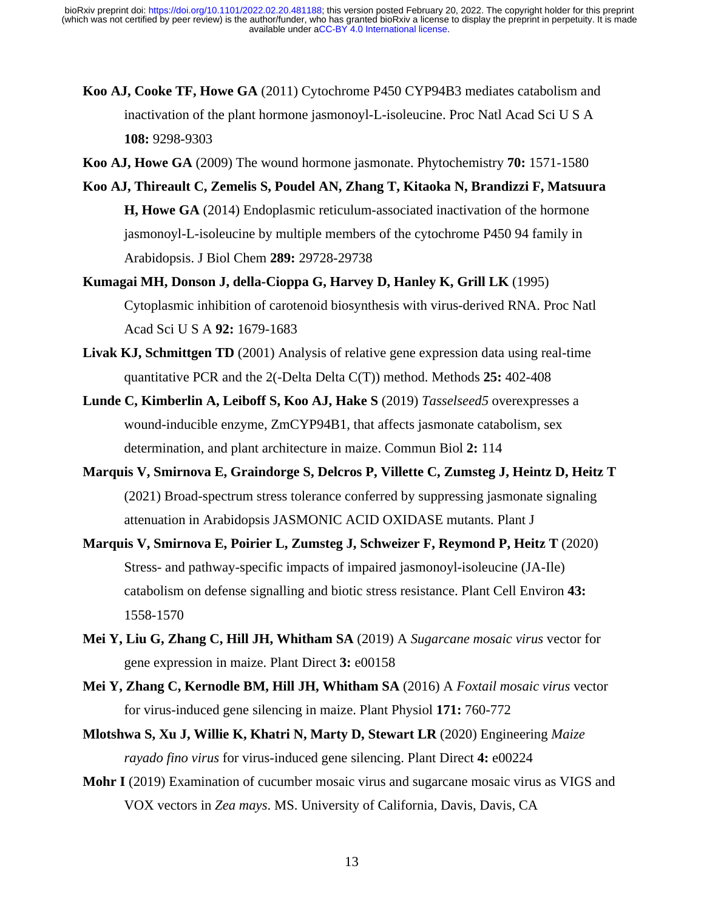- **Koo AJ, Cooke TF, Howe GA** (2011) Cytochrome P450 CYP94B3 mediates catabolism and inactivation of the plant hormone jasmonoyl-L-isoleucine. Proc Natl Acad Sci U S A **108:** 9298-9303
- **Koo AJ, Howe GA** (2009) The wound hormone jasmonate. Phytochemistry **70:** 1571-1580
- **Koo AJ, Thireault C, Zemelis S, Poudel AN, Zhang T, Kitaoka N, Brandizzi F, Matsuura H, Howe GA** (2014) Endoplasmic reticulum-associated inactivation of the hormone jasmonoyl-L-isoleucine by multiple members of the cytochrome P450 94 family in Arabidopsis. J Biol Chem **289:** 29728-29738
- **Kumagai MH, Donson J, della-Cioppa G, Harvey D, Hanley K, Grill LK** (1995) Cytoplasmic inhibition of carotenoid biosynthesis with virus-derived RNA. Proc Natl Acad Sci U S A **92:** 1679-1683
- **Livak KJ, Schmittgen TD** (2001) Analysis of relative gene expression data using real-time quantitative PCR and the 2(-Delta Delta C(T)) method. Methods **25:** 402-408
- **Lunde C, Kimberlin A, Leiboff S, Koo AJ, Hake S** (2019) *Tasselseed5* overexpresses a wound-inducible enzyme, ZmCYP94B1, that affects jasmonate catabolism, sex determination, and plant architecture in maize. Commun Biol **2:** 114
- **Marquis V, Smirnova E, Graindorge S, Delcros P, Villette C, Zumsteg J, Heintz D, Heitz T** (2021) Broad-spectrum stress tolerance conferred by suppressing jasmonate signaling attenuation in Arabidopsis JASMONIC ACID OXIDASE mutants. Plant J
- **Marquis V, Smirnova E, Poirier L, Zumsteg J, Schweizer F, Reymond P, Heitz T** (2020) Stress- and pathway-specific impacts of impaired jasmonoyl-isoleucine (JA-Ile) catabolism on defense signalling and biotic stress resistance. Plant Cell Environ **43:** 1558-1570
- **Mei Y, Liu G, Zhang C, Hill JH, Whitham SA** (2019) A *Sugarcane mosaic virus* vector for gene expression in maize. Plant Direct **3:** e00158
- **Mei Y, Zhang C, Kernodle BM, Hill JH, Whitham SA** (2016) A *Foxtail mosaic virus* vector for virus-induced gene silencing in maize. Plant Physiol **171:** 760-772
- **Mlotshwa S, Xu J, Willie K, Khatri N, Marty D, Stewart LR** (2020) Engineering *Maize rayado fino virus* for virus-induced gene silencing. Plant Direct **4:** e00224
- **Mohr I** (2019) Examination of cucumber mosaic virus and sugarcane mosaic virus as VIGS and VOX vectors in *Zea mays*. MS. University of California, Davis, Davis, CA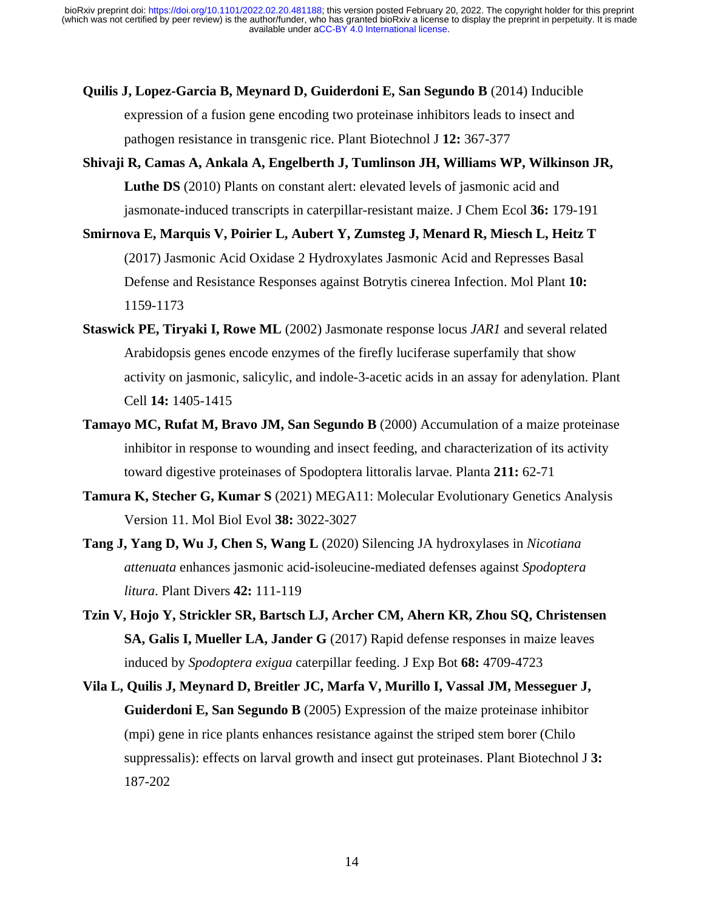- **Quilis J, Lopez-Garcia B, Meynard D, Guiderdoni E, San Segundo B** (2014) Inducible expression of a fusion gene encoding two proteinase inhibitors leads to insect and pathogen resistance in transgenic rice. Plant Biotechnol J **12:** 367-377
- **Shivaji R, Camas A, Ankala A, Engelberth J, Tumlinson JH, Williams WP, Wilkinson JR, Luthe DS** (2010) Plants on constant alert: elevated levels of jasmonic acid and jasmonate-induced transcripts in caterpillar-resistant maize. J Chem Ecol **36:** 179-191
- **Smirnova E, Marquis V, Poirier L, Aubert Y, Zumsteg J, Menard R, Miesch L, Heitz T** (2017) Jasmonic Acid Oxidase 2 Hydroxylates Jasmonic Acid and Represses Basal Defense and Resistance Responses against Botrytis cinerea Infection. Mol Plant **10:** 1159-1173
- **Staswick PE, Tiryaki I, Rowe ML** (2002) Jasmonate response locus *JAR1* and several related Arabidopsis genes encode enzymes of the firefly luciferase superfamily that show activity on jasmonic, salicylic, and indole-3-acetic acids in an assay for adenylation. Plant Cell **14:** 1405-1415
- **Tamayo MC, Rufat M, Bravo JM, San Segundo B** (2000) Accumulation of a maize proteinase inhibitor in response to wounding and insect feeding, and characterization of its activity toward digestive proteinases of Spodoptera littoralis larvae. Planta **211:** 62-71
- **Tamura K, Stecher G, Kumar S** (2021) MEGA11: Molecular Evolutionary Genetics Analysis Version 11. Mol Biol Evol **38:** 3022-3027
- **Tang J, Yang D, Wu J, Chen S, Wang L** (2020) Silencing JA hydroxylases in *Nicotiana attenuata* enhances jasmonic acid-isoleucine-mediated defenses against *Spodoptera litura*. Plant Divers **42:** 111-119
- **Tzin V, Hojo Y, Strickler SR, Bartsch LJ, Archer CM, Ahern KR, Zhou SQ, Christensen SA, Galis I, Mueller LA, Jander G** (2017) Rapid defense responses in maize leaves induced by *Spodoptera exigua* caterpillar feeding. J Exp Bot **68:** 4709-4723
- **Vila L, Quilis J, Meynard D, Breitler JC, Marfa V, Murillo I, Vassal JM, Messeguer J, Guiderdoni E, San Segundo B** (2005) Expression of the maize proteinase inhibitor (mpi) gene in rice plants enhances resistance against the striped stem borer (Chilo suppressalis): effects on larval growth and insect gut proteinases. Plant Biotechnol J **3:** 187-202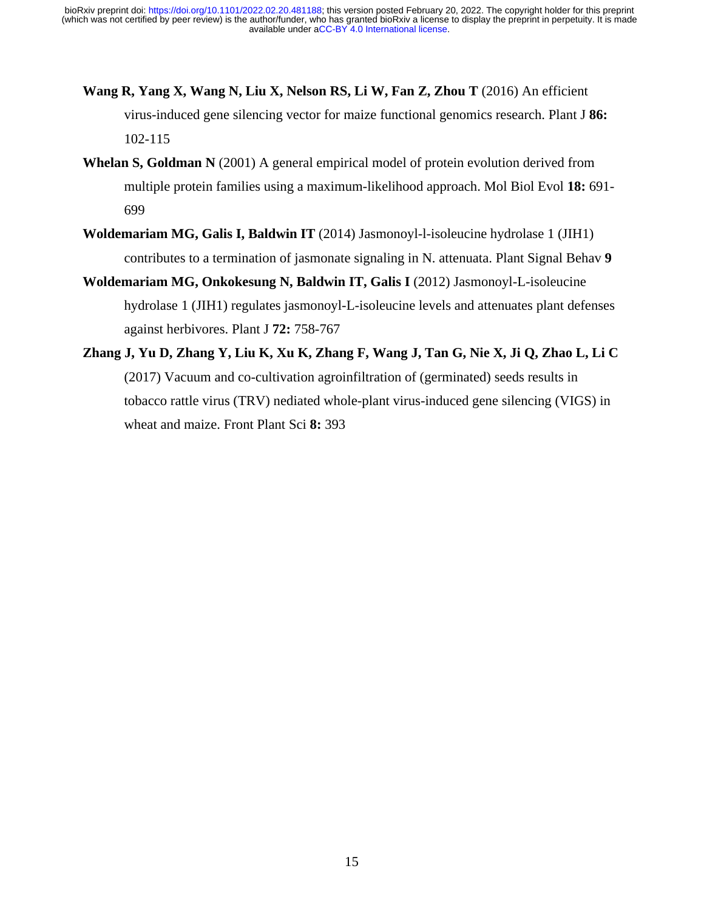- **Wang R, Yang X, Wang N, Liu X, Nelson RS, Li W, Fan Z, Zhou T** (2016) An efficient virus-induced gene silencing vector for maize functional genomics research. Plant J **86:** 102-115
- **Whelan S, Goldman N** (2001) A general empirical model of protein evolution derived from multiple protein families using a maximum-likelihood approach. Mol Biol Evol **18:** 691- 699
- **Woldemariam MG, Galis I, Baldwin IT** (2014) Jasmonoyl-l-isoleucine hydrolase 1 (JIH1) contributes to a termination of jasmonate signaling in N. attenuata. Plant Signal Behav **9**
- **Woldemariam MG, Onkokesung N, Baldwin IT, Galis I** (2012) Jasmonoyl-L-isoleucine hydrolase 1 (JIH1) regulates jasmonoyl-L-isoleucine levels and attenuates plant defenses against herbivores. Plant J **72:** 758-767
- **Zhang J, Yu D, Zhang Y, Liu K, Xu K, Zhang F, Wang J, Tan G, Nie X, Ji Q, Zhao L, Li C** (2017) Vacuum and co-cultivation agroinfiltration of (germinated) seeds results in tobacco rattle virus (TRV) nediated whole-plant virus-induced gene silencing (VIGS) in wheat and maize. Front Plant Sci **8:** 393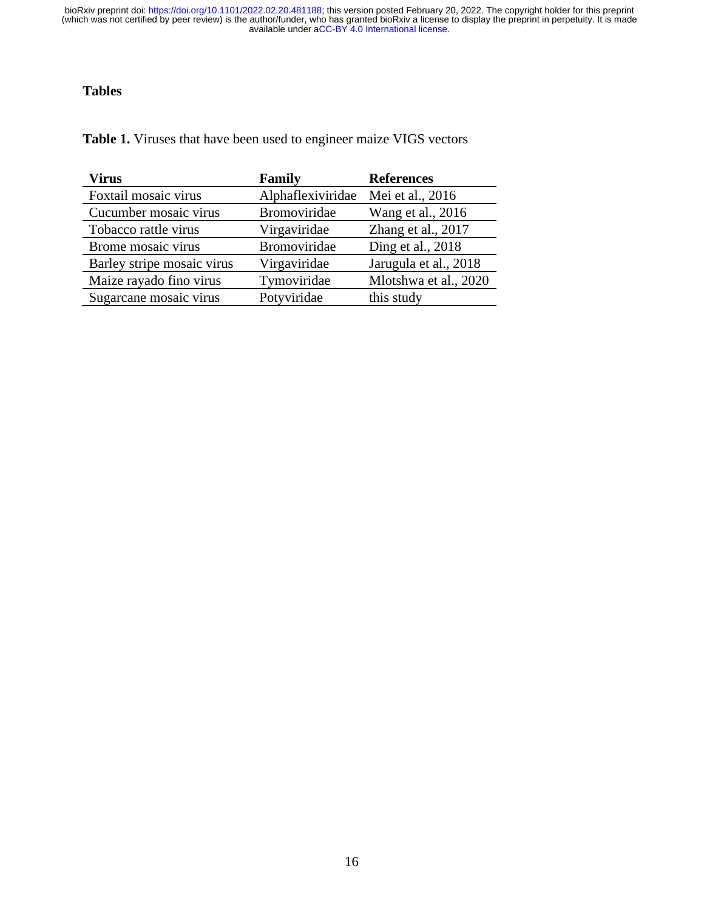## **Tables**

**Table 1.** Viruses that have been used to engineer maize VIGS vectors

| <b>Virus</b>               | Family              | <b>References</b>     |
|----------------------------|---------------------|-----------------------|
| Foxtail mosaic virus       | Alphaflexiviridae   | Mei et al., 2016      |
| Cucumber mosaic virus      | <b>Bromoviridae</b> | Wang et al., 2016     |
| Tobacco rattle virus       | Virgaviridae        | Zhang et al., 2017    |
| Brome mosaic virus         | Bromoviridae        | Ding et al., 2018     |
| Barley stripe mosaic virus | Virgaviridae        | Jarugula et al., 2018 |
| Maize rayado fino virus    | Tymoviridae         | Mlotshwa et al., 2020 |
| Sugarcane mosaic virus     | Potyviridae         | this study            |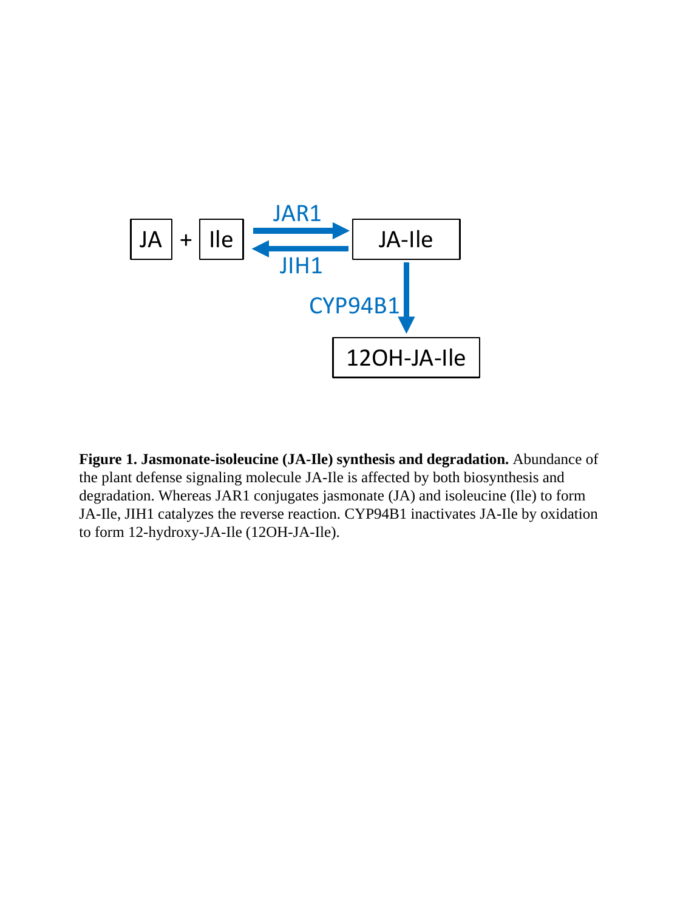

**Figure 1. Jasmonate-isoleucine (JA-Ile) synthesis and degradation.** Abundance of the plant defense signaling molecule JA-Ile is affected by both biosynthesis and degradation. Whereas JAR1 conjugates jasmonate (JA) and isoleucine (Ile) to form JA-Ile, JIH1 catalyzes the reverse reaction. CYP94B1 inactivates JA-Ile by oxidation to form 12-hydroxy-JA-Ile (12OH-JA-Ile).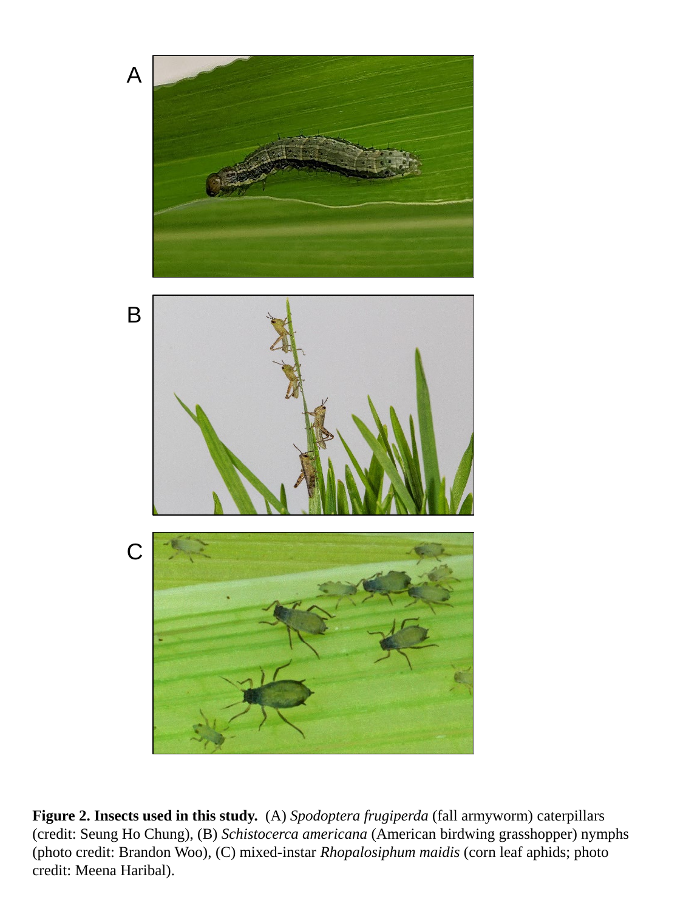

**Figure 2. Insects used in this study.** (A) *Spodoptera frugiperda* (fall armyworm) caterpillars (credit: Seung Ho Chung), (B) *Schistocerca americana* (American birdwing grasshopper) nymphs (photo credit: Brandon Woo), (C) mixed-instar *Rhopalosiphum maidis* (corn leaf aphids; photo credit: Meena Haribal).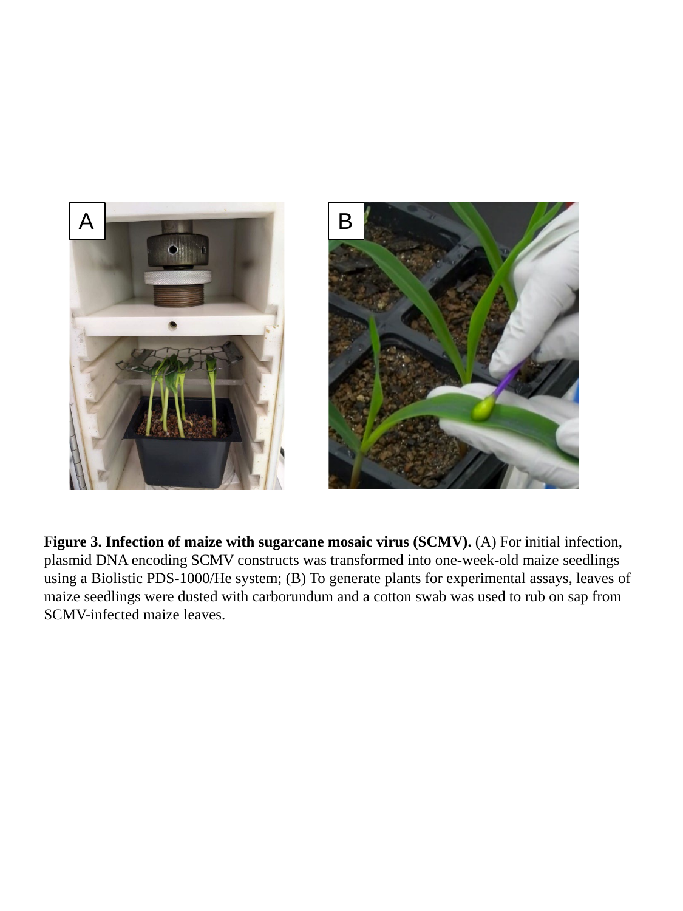

Figure 3. Infection of maize with sugarcane mosaic virus (SCMV). (A) For initial infection, plasmid DNA encoding SCMV constructs was transformed into one-week-old maize seedlings using a Biolistic PDS-1000/He system; (B) To generate plants for experimental assays, leaves of maize seedlings were dusted with carborundum and a cotton swab was used to rub on sap from SCMV-infected maize leaves.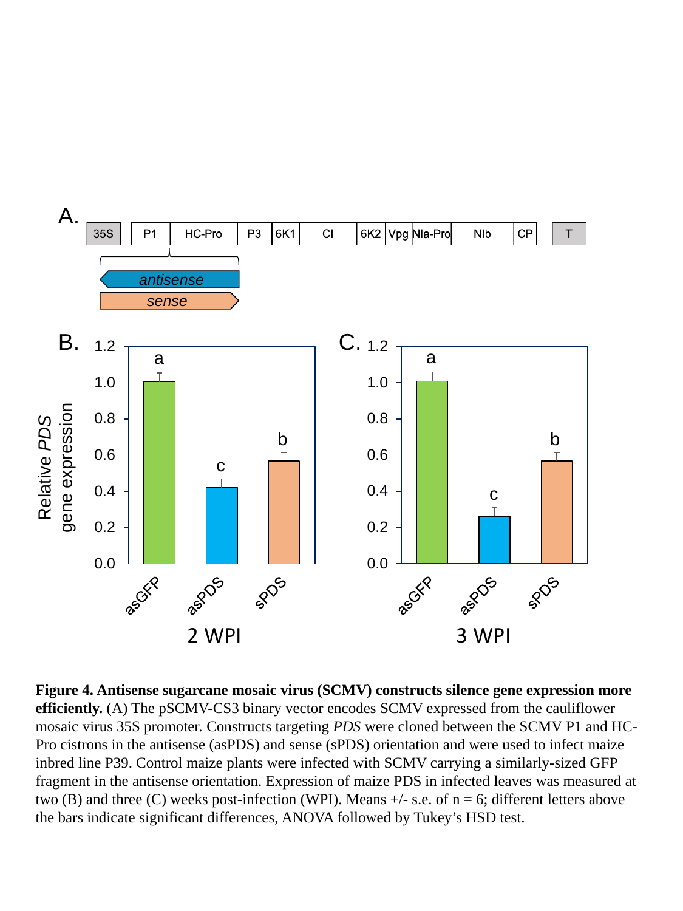

**Figure 4. Antisense sugarcane mosaic virus (SCMV) constructs silence gene expression more efficiently.** (A) The pSCMV-CS3 binary vector encodes SCMV expressed from the cauliflower mosaic virus 35S promoter. Constructs targeting *PDS* were cloned between the SCMV P1 and HC-Pro cistrons in the antisense (asPDS) and sense (sPDS) orientation and were used to infect maize inbred line P39. Control maize plants were infected with SCMV carrying a similarly-sized GFP fragment in the antisense orientation. Expression of maize PDS in infected leaves was measured at two (B) and three (C) weeks post-infection (WPI). Means  $+/-$  s.e. of n = 6; different letters above the bars indicate significant differences, ANOVA followed by Tukey's HSD test.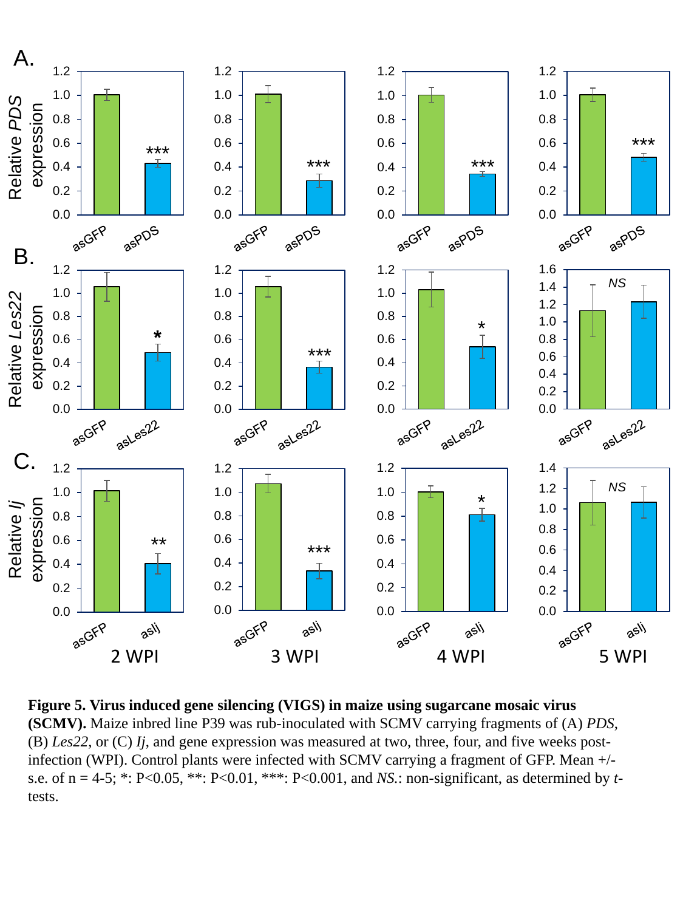

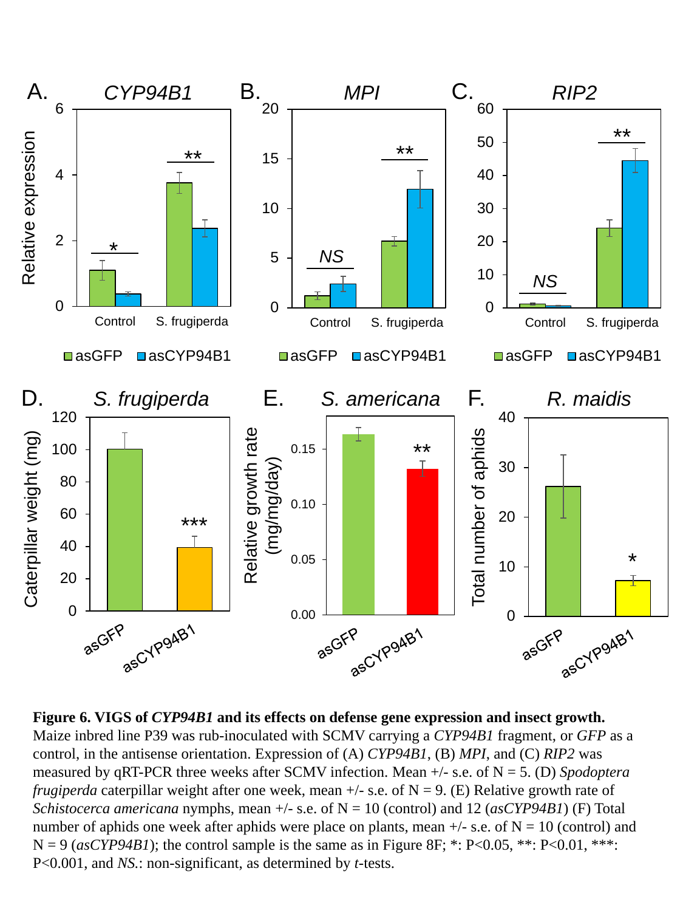

**Figure 6. VIGS of** *CYP94B1* **and its effects on defense gene expression and insect growth.**  Maize inbred line P39 was rub-inoculated with SCMV carrying a *CYP94B1* fragment, or *GFP* as a control, in the antisense orientation. Expression of (A) *CYP94B1*, (B) *MPI*, and (C) *RIP2* was measured by qRT-PCR three weeks after SCMV infection. Mean +/- s.e. of N = 5. (D) *Spodoptera frugiperda* caterpillar weight after one week, mean  $+/-$  s.e. of  $N = 9$ . (E) Relative growth rate of *Schistocerca americana* nymphs, mean  $+/-$  s.e. of  $N = 10$  (control) and 12 (*asCYP94B1*) (F) Total number of aphids one week after aphids were place on plants, mean  $+/-$  s.e. of  $N = 10$  (control) and  $N = 9$  (*asCYP94B1*); the control sample is the same as in Figure 8F; \*: P<0.05, \*\*: P<0.01, \*\*\*: P<0.001, and *NS.*: non-significant, as determined by *t-*tests.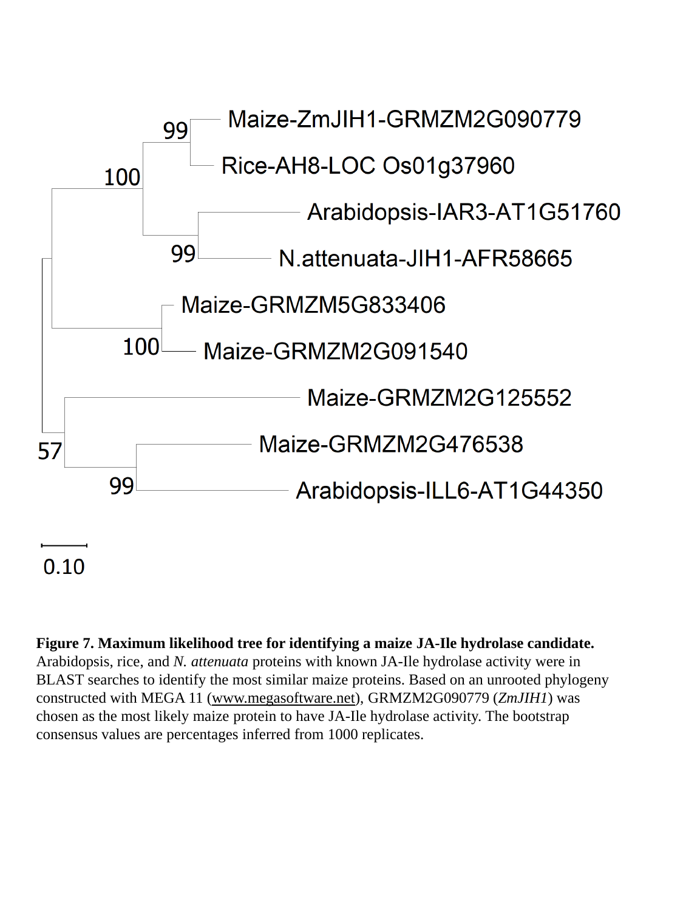

# $0.10$

**Figure 7. Maximum likelihood tree for identifying a maize JA-Ile hydrolase candidate.** Arabidopsis, rice, and *N. attenuata* proteins with known JA-Ile hydrolase activity were in BLAST searches to identify the most similar maize proteins. Based on an unrooted phylogeny constructed with MEGA 11 ([www.megasoftware.net\)](http://www.megasoftware.net/), GRMZM2G090779 (*ZmJIH1*) was chosen as the most likely maize protein to have JA-Ile hydrolase activity. The bootstrap consensus values are percentages inferred from 1000 replicates.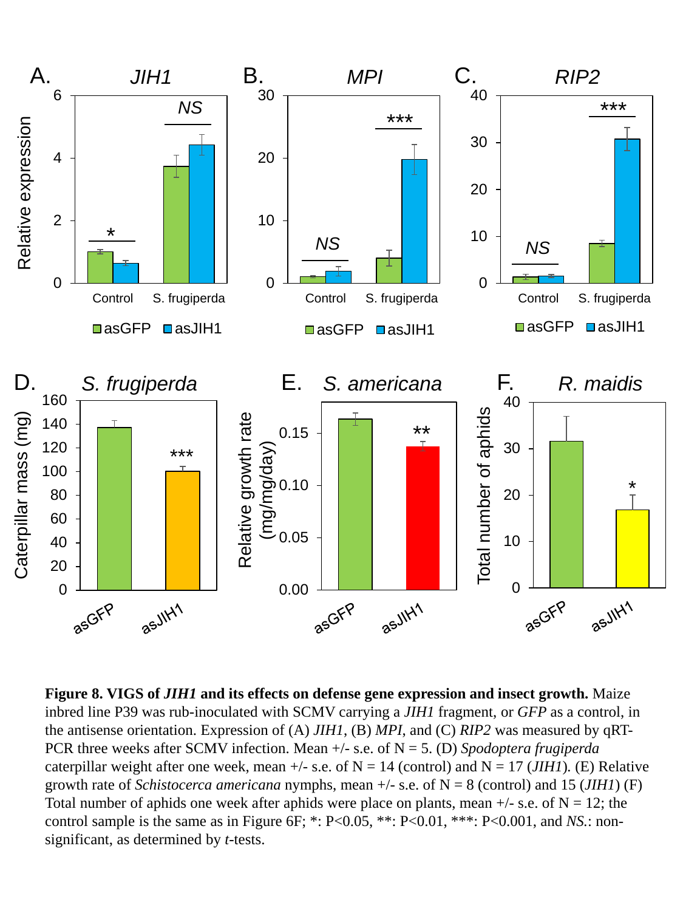

**Figure 8. VIGS of** *JIH1* **and its effects on defense gene expression and insect growth.** Maize inbred line P39 was rub-inoculated with SCMV carrying a *JIH1* fragment, or *GFP* as a control, in the antisense orientation. Expression of (A) *JIH1*, (B) *MPI*, and (C) *RIP2* was measured by qRT-PCR three weeks after SCMV infection. Mean +/- s.e. of N = 5. (D) *Spodoptera frugiperda* caterpillar weight after one week, mean  $+/-$  s.e. of N = 14 (control) and N = 17 (*JIH1*). (E) Relative growth rate of *Schistocerca americana* nymphs, mean  $+/-$  s.e. of  $N = 8$  (control) and 15 (*JIH1*) (F) Total number of aphids one week after aphids were place on plants, mean  $+/-$  s.e. of N = 12; the control sample is the same as in Figure 6F; \*: P<0.05, \*\*: P<0.01, \*\*\*: P<0.001, and *NS*.: nonsignificant, as determined by *t-*tests.